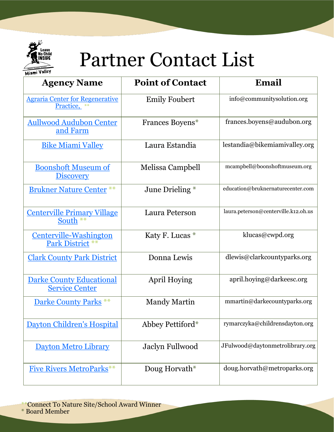

## Partner Contact List

Miami Valley

| <b>Agency Name</b>                                       | <b>Point of Contact</b> | Email                                |
|----------------------------------------------------------|-------------------------|--------------------------------------|
| <b>Agraria Center for Regenerative</b><br>Practice, **   | <b>Emily Foubert</b>    | info@communitysolution.org           |
| <b>Aullwood Audubon Center</b><br>and Farm               | Frances Boyens*         | frances.boyens@audubon.org           |
| <b>Bike Miami Valley</b>                                 | Laura Estandia          | lestandia@bikemiamivalley.org        |
| <b>Boonshoft Museum of</b><br><b>Discovery</b>           | Melissa Campbell        | mcampbell@boonshoftmuseum.org        |
| <b>Brukner Nature Center **</b>                          | June Drieling *         | education@bruknernaturecenter.com    |
| <b>Centerville Primary Village</b><br>South $**$         | Laura Peterson          | laura.peterson@centerville.k12.oh.us |
| <u>Centerville-Washington</u><br><b>Park District</b>    | Katy F. Lucas *         | klucas@cwpd.org                      |
| <b>Clark County Park District</b>                        | Donna Lewis             | dlewis@clarkcountyparks.org          |
| <b>Darke County Educational</b><br><b>Service Center</b> | April Hoying            | april.hoying@darkeesc.org            |
| <b>Darke County Parks</b> **                             | <b>Mandy Martin</b>     | mmartin@darkecountyparks.org         |
| Dayton Children's Hospital                               | Abbey Pettiford*        | rymarczyka@childrensdayton.org       |
| <b>Dayton Metro Library</b>                              | <b>Jaclyn Fullwood</b>  | JFulwood@daytonmetrolibrary.org      |
| <b>Five Rivers MetroParks**</b>                          | Doug Horvath*           | doug.horvath@metroparks.org          |

\*\*Connect To Nature Site/School Award Winner

\* Board Member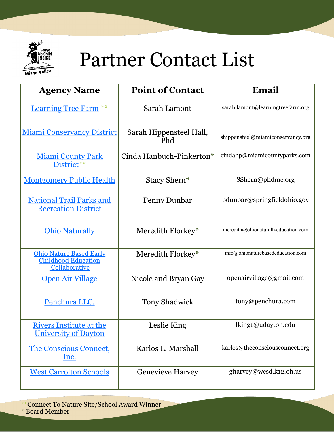

## Partner Contact List

| <b>Agency Name</b>                                                     | <b>Point of Contact</b>        | Email                               |
|------------------------------------------------------------------------|--------------------------------|-------------------------------------|
| <b>Learning Tree Farm</b> **                                           | Sarah Lamont                   | sarah.lamont@learningtreefarm.org   |
| <b>Miami Conservancy District</b>                                      | Sarah Hippensteel Hall,<br>Phd | shippensteel@miamiconservancy.org   |
| <b>Miami County Park</b><br>District**                                 | Cinda Hanbuch-Pinkerton*       | cindahp@miamicountyparks.com        |
| <b>Montgomery Public Health</b>                                        | Stacy Shern*                   | SShern@phdmc.org                    |
| <b>National Trail Parks and</b><br><b>Recreation District</b>          | Penny Dunbar                   | pdunbar@springfieldohio.gov         |
| <b>Ohio Naturally</b>                                                  | Meredith Florkey*              | meredith@ohionaturallyeducation.com |
| <b>Ohio Nature Based Early</b><br>Childhood Education<br>Collaborative | Meredith Florkey*              | info@ohionaturebasededucation.com   |
| <b>Open Air Village</b>                                                | Nicole and Bryan Gay           | openairvillage@gmail.com            |
| Penchura LLC.                                                          | <b>Tony Shadwick</b>           | tony@penchura.com                   |
| <b>Rivers Institute at the</b><br><b>University of Dayton</b>          | Leslie King                    | lking1@udayton.edu                  |
| <b>The Conscious Connect,</b><br><u>Inc.</u>                           | Karlos L. Marshall             | karlos@theconsciousconnect.org      |
| <b>West Carrolton Schools</b>                                          | <b>Genevieve Harvey</b>        | gharvey@wcsd.k12.oh.us              |

\*\*Connect To Nature Site/School Award Winner

\* Board Member